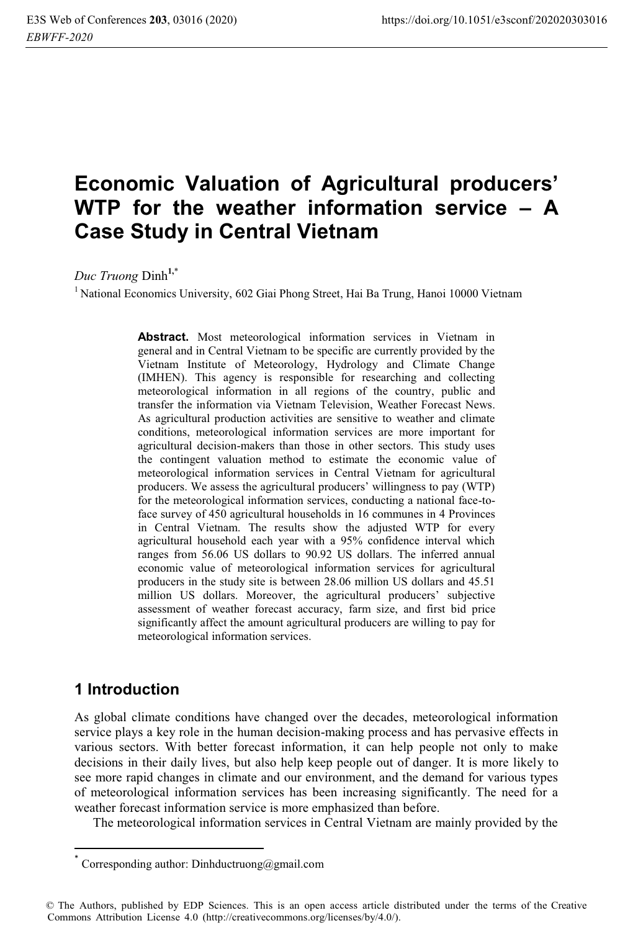# **Economic Valuation of Agricultural producers' WTP for the weather information service – A Case Study in Central Vietnam**

*Duc Truong* Dinh**1,**\*

<sup>1</sup> National Economics University, 602 Giai Phong Street, Hai Ba Trung, Hanoi 10000 Vietnam

**Abstract.** Most meteorological information services in Vietnam in general and in Central Vietnam to be specific are currently provided by the Vietnam Institute of Meteorology, Hydrology and Climate Change (IMHEN). This agency is responsible for researching and collecting meteorological information in all regions of the country, public and transfer the information via Vietnam Television, Weather Forecast News. As agricultural production activities are sensitive to weather and climate conditions, meteorological information services are more important for agricultural decision-makers than those in other sectors. This study uses the contingent valuation method to estimate the economic value of meteorological information services in Central Vietnam for agricultural producers. We assess the agricultural producers' willingness to pay (WTP) for the meteorological information services, conducting a national face-toface survey of 450 agricultural households in 16 communes in 4 Provinces in Central Vietnam. The results show the adjusted WTP for every agricultural household each year with a 95% confidence interval which ranges from 56.06 US dollars to 90.92 US dollars. The inferred annual economic value of meteorological information services for agricultural producers in the study site is between 28.06 million US dollars and 45.51 million US dollars. Moreover, the agricultural producers' subjective assessment of weather forecast accuracy, farm size, and first bid price significantly affect the amount agricultural producers are willing to pay for meteorological information services.

# **1 Introduction**

l

As global climate conditions have changed over the decades, meteorological information service plays a key role in the human decision-making process and has pervasive effects in various sectors. With better forecast information, it can help people not only to make decisions in their daily lives, but also help keep people out of danger. It is more likely to see more rapid changes in climate and our environment, and the demand for various types of meteorological information services has been increasing significantly. The need for a weather forecast information service is more emphasized than before.

The meteorological information services in Central Vietnam are mainly provided by the

Corresponding author: Dinhductruong@gmail.com

<sup>©</sup> The Authors, published by EDP Sciences. This is an open access article distributed under the terms of the Creative Commons Attribution License 4.0 (http://creativecommons.org/licenses/by/4.0/).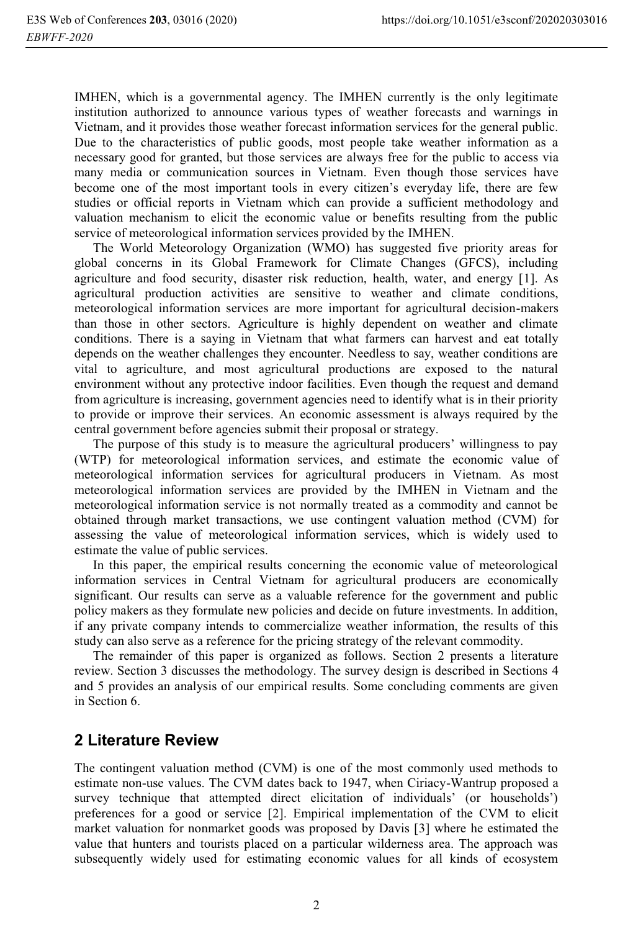IMHEN, which is a governmental agency. The IMHEN currently is the only legitimate institution authorized to announce various types of weather forecasts and warnings in Vietnam, and it provides those weather forecast information services for the general public. Due to the characteristics of public goods, most people take weather information as a necessary good for granted, but those services are always free for the public to access via many media or communication sources in Vietnam. Even though those services have become one of the most important tools in every citizen's everyday life, there are few studies or official reports in Vietnam which can provide a sufficient methodology and valuation mechanism to elicit the economic value or benefits resulting from the public service of meteorological information services provided by the IMHEN.

The World Meteorology Organization (WMO) has suggested five priority areas for global concerns in its Global Framework for Climate Changes (GFCS), including agriculture and food security, disaster risk reduction, health, water, and energy [1]. As agricultural production activities are sensitive to weather and climate conditions, meteorological information services are more important for agricultural decision-makers than those in other sectors. Agriculture is highly dependent on weather and climate conditions. There is a saying in Vietnam that what farmers can harvest and eat totally depends on the weather challenges they encounter. Needless to say, weather conditions are vital to agriculture, and most agricultural productions are exposed to the natural environment without any protective indoor facilities. Even though the request and demand from agriculture is increasing, government agencies need to identify what is in their priority to provide or improve their services. An economic assessment is always required by the central government before agencies submit their proposal or strategy.

The purpose of this study is to measure the agricultural producers' willingness to pay (WTP) for meteorological information services, and estimate the economic value of meteorological information services for agricultural producers in Vietnam. As most meteorological information services are provided by the IMHEN in Vietnam and the meteorological information service is not normally treated as a commodity and cannot be obtained through market transactions, we use contingent valuation method (CVM) for assessing the value of meteorological information services, which is widely used to estimate the value of public services.

In this paper, the empirical results concerning the economic value of meteorological information services in Central Vietnam for agricultural producers are economically significant. Our results can serve as a valuable reference for the government and public policy makers as they formulate new policies and decide on future investments. In addition, if any private company intends to commercialize weather information, the results of this study can also serve as a reference for the pricing strategy of the relevant commodity.

The remainder of this paper is organized as follows. Section 2 presents a literature review. Section 3 discusses the methodology. The survey design is described in Sections 4 and 5 provides an analysis of our empirical results. Some concluding comments are given in Section 6.

## **2 Literature Review**

The contingent valuation method (CVM) is one of the most commonly used methods to estimate non-use values. The CVM dates back to 1947, when Ciriacy-Wantrup proposed a survey technique that attempted direct elicitation of individuals' (or households') preferences for a good or service [2]. Empirical implementation of the CVM to elicit market valuation for nonmarket goods was proposed by Davis [3] where he estimated the value that hunters and tourists placed on a particular wilderness area. The approach was subsequently widely used for estimating economic values for all kinds of ecosystem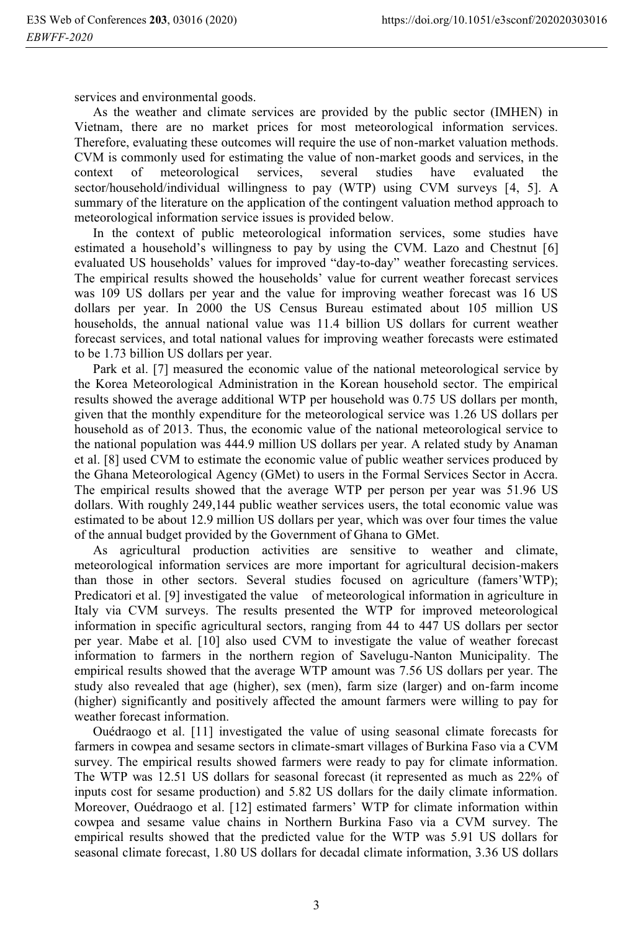services and environmental goods.

As the weather and climate services are provided by the public sector (IMHEN) in Vietnam, there are no market prices for most meteorological information services. Therefore, evaluating these outcomes will require the use of non-market valuation methods. CVM is commonly used for estimating the value of non-market goods and services, in the context of meteorological services, several studies have evaluated the sector/household/individual willingness to pay (WTP) using CVM surveys [4, 5]. A summary of the literature on the application of the contingent valuation method approach to meteorological information service issues is provided below.

In the context of public meteorological information services, some studies have estimated a household's willingness to pay by using the CVM. Lazo and Chestnut [6] evaluated US households' values for improved "day-to-day" weather forecasting services. The empirical results showed the households' value for current weather forecast services was 109 US dollars per year and the value for improving weather forecast was 16 US dollars per year. In 2000 the US Census Bureau estimated about 105 million US households, the annual national value was 11.4 billion US dollars for current weather forecast services, and total national values for improving weather forecasts were estimated to be 1.73 billion US dollars per year.

Park et al. [7] measured the economic value of the national meteorological service by the Korea Meteorological Administration in the Korean household sector. The empirical results showed the average additional WTP per household was 0.75 US dollars per month, given that the monthly expenditure for the meteorological service was 1.26 US dollars per household as of 2013. Thus, the economic value of the national meteorological service to the national population was 444.9 million US dollars per year. A related study by Anaman et al. [8] used CVM to estimate the economic value of public weather services produced by the Ghana Meteorological Agency (GMet) to users in the Formal Services Sector in Accra. The empirical results showed that the average WTP per person per year was 51.96 US dollars. With roughly 249,144 public weather services users, the total economic value was estimated to be about 12.9 million US dollars per year, which was over four times the value of the annual budget provided by the Government of Ghana to GMet.

As agricultural production activities are sensitive to weather and climate, meteorological information services are more important for agricultural decision-makers than those in other sectors. Several studies focused on agriculture (famers'WTP); Predicatori et al. [9] investigated the value of meteorological information in agriculture in Italy via CVM surveys. The results presented the WTP for improved meteorological information in specific agricultural sectors, ranging from 44 to 447 US dollars per sector per year. Mabe et al. [10] also used CVM to investigate the value of weather forecast information to farmers in the northern region of Savelugu-Nanton Municipality. The empirical results showed that the average WTP amount was 7.56 US dollars per year. The study also revealed that age (higher), sex (men), farm size (larger) and on-farm income (higher) significantly and positively affected the amount farmers were willing to pay for weather forecast information.

Ouédraogo et al. [11] investigated the value of using seasonal climate forecasts for farmers in cowpea and sesame sectors in climate-smart villages of Burkina Faso via a CVM survey. The empirical results showed farmers were ready to pay for climate information. The WTP was 12.51 US dollars for seasonal forecast (it represented as much as 22% of inputs cost for sesame production) and 5.82 US dollars for the daily climate information. Moreover, Ouédraogo et al. [12] estimated farmers' WTP for climate information within cowpea and sesame value chains in Northern Burkina Faso via a CVM survey. The empirical results showed that the predicted value for the WTP was 5.91 US dollars for seasonal climate forecast, 1.80 US dollars for decadal climate information, 3.36 US dollars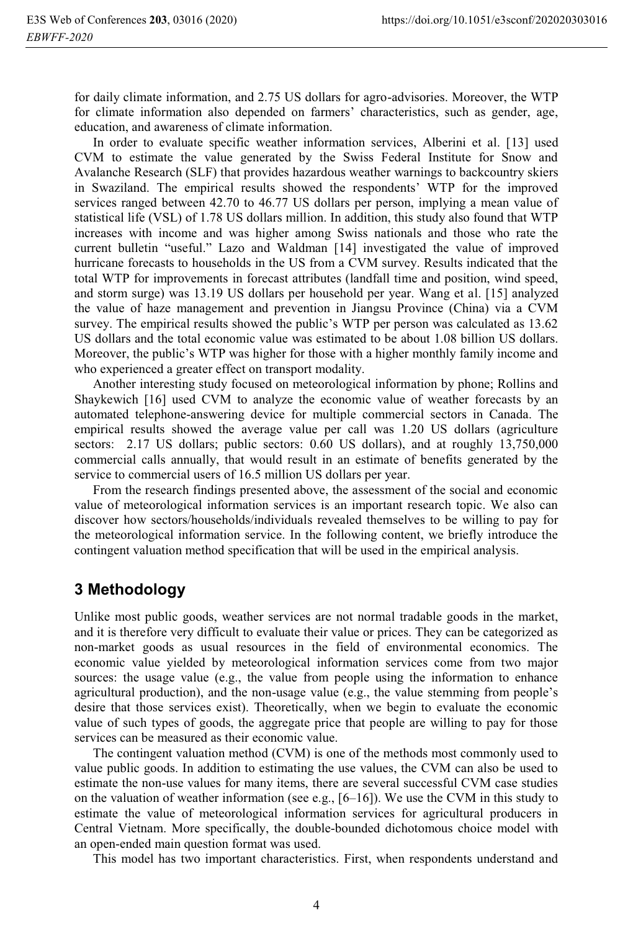for daily climate information, and 2.75 US dollars for agro-advisories. Moreover, the WTP for climate information also depended on farmers' characteristics, such as gender, age, education, and awareness of climate information.

In order to evaluate specific weather information services, Alberini et al. [13] used CVM to estimate the value generated by the Swiss Federal Institute for Snow and Avalanche Research (SLF) that provides hazardous weather warnings to backcountry skiers in Swaziland. The empirical results showed the respondents' WTP for the improved services ranged between 42.70 to 46.77 US dollars per person, implying a mean value of statistical life (VSL) of 1.78 US dollars million. In addition, this study also found that WTP increases with income and was higher among Swiss nationals and those who rate the current bulletin "useful." Lazo and Waldman [14] investigated the value of improved hurricane forecasts to households in the US from a CVM survey. Results indicated that the total WTP for improvements in forecast attributes (landfall time and position, wind speed, and storm surge) was 13.19 US dollars per household per year. Wang et al. [15] analyzed the value of haze management and prevention in Jiangsu Province (China) via a CVM survey. The empirical results showed the public's WTP per person was calculated as 13.62 US dollars and the total economic value was estimated to be about 1.08 billion US dollars. Moreover, the public's WTP was higher for those with a higher monthly family income and who experienced a greater effect on transport modality.

Another interesting study focused on meteorological information by phone; Rollins and Shaykewich [16] used CVM to analyze the economic value of weather forecasts by an automated telephone-answering device for multiple commercial sectors in Canada. The empirical results showed the average value per call was 1.20 US dollars (agriculture sectors: 2.17 US dollars; public sectors: 0.60 US dollars), and at roughly 13,750,000 commercial calls annually, that would result in an estimate of benefits generated by the service to commercial users of 16.5 million US dollars per year.

From the research findings presented above, the assessment of the social and economic value of meteorological information services is an important research topic. We also can discover how sectors/households/individuals revealed themselves to be willing to pay for the meteorological information service. In the following content, we briefly introduce the contingent valuation method specification that will be used in the empirical analysis.

## **3 Methodology**

Unlike most public goods, weather services are not normal tradable goods in the market, and it is therefore very difficult to evaluate their value or prices. They can be categorized as non-market goods as usual resources in the field of environmental economics. The economic value yielded by meteorological information services come from two major sources: the usage value (e.g., the value from people using the information to enhance agricultural production), and the non-usage value (e.g., the value stemming from people's desire that those services exist). Theoretically, when we begin to evaluate the economic value of such types of goods, the aggregate price that people are willing to pay for those services can be measured as their economic value.

The contingent valuation method (CVM) is one of the methods most commonly used to value public goods. In addition to estimating the use values, the CVM can also be used to estimate the non-use values for many items, there are several successful CVM case studies on the valuation of weather information (see e.g., [6–16]). We use the CVM in this study to estimate the value of meteorological information services for agricultural producers in Central Vietnam. More specifically, the double-bounded dichotomous choice model with an open-ended main question format was used.

This model has two important characteristics. First, when respondents understand and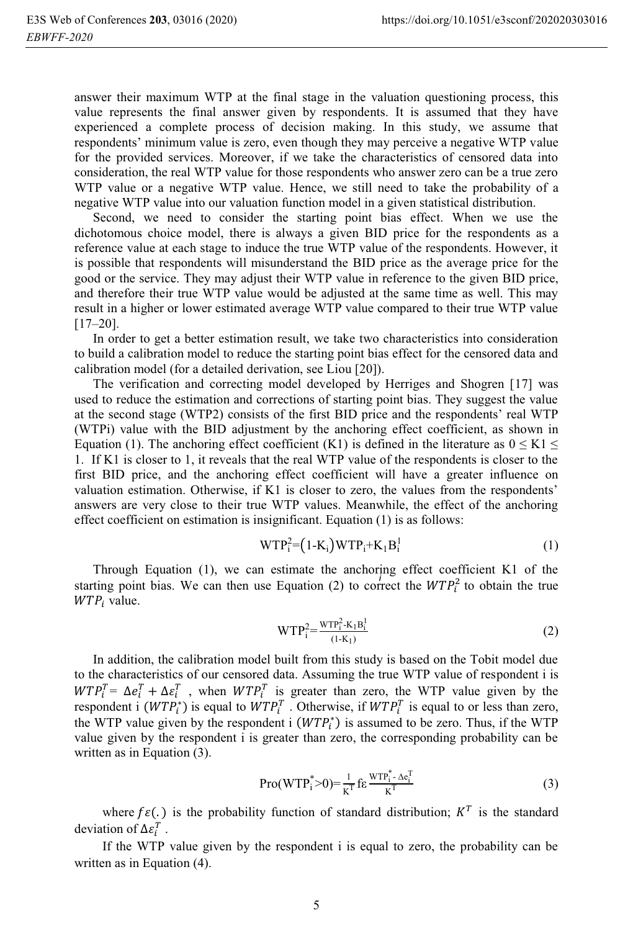answer their maximum WTP at the final stage in the valuation questioning process, this value represents the final answer given by respondents. It is assumed that they have experienced a complete process of decision making. In this study, we assume that respondents' minimum value is zero, even though they may perceive a negative WTP value for the provided services. Moreover, if we take the characteristics of censored data into consideration, the real WTP value for those respondents who answer zero can be a true zero WTP value or a negative WTP value. Hence, we still need to take the probability of a negative WTP value into our valuation function model in a given statistical distribution.

Second, we need to consider the starting point bias effect. When we use the dichotomous choice model, there is always a given BID price for the respondents as a reference value at each stage to induce the true WTP value of the respondents. However, it is possible that respondents will misunderstand the BID price as the average price for the good or the service. They may adjust their WTP value in reference to the given BID price, and therefore their true WTP value would be adjusted at the same time as well. This may result in a higher or lower estimated average WTP value compared to their true WTP value  $[17–20]$ .

In order to get a better estimation result, we take two characteristics into consideration to build a calibration model to reduce the starting point bias effect for the censored data and calibration model (for a detailed derivation, see Liou [20]).

The verification and correcting model developed by Herriges and Shogren [17] was used to reduce the estimation and corrections of starting point bias. They suggest the value at the second stage (WTP2) consists of the first BID price and the respondents' real WTP (WTPi) value with the BID adjustment by the anchoring effect coefficient, as shown in Equation (1). The anchoring effect coefficient (K1) is defined in the literature as  $0 \leq K1 \leq$ 1. If K1 is closer to 1, it reveals that the real WTP value of the respondents is closer to the first BID price, and the anchoring effect coefficient will have a greater influence on valuation estimation. Otherwise, if K1 is closer to zero, the values from the respondents' answers are very close to their true WTP values. Meanwhile, the effect of the anchoring effect coefficient on estimation is insignificant. Equation (1) is as follows:

$$
WTP_i^2 = (1-K_i)WTP_i + K_1B_i^1
$$
 (1)

Through Equation (1), we can estimate the anchoring effect coefficient K1 of the starting point bias. We can then use Equation (2) to correct the  $WTP_i^2$  to obtain the true  $WTP_i$  value.

$$
WTP_i^2 = \frac{WTP_i^2 \cdot K_1B_i^1}{(1-K_1)}
$$
 (2)

In addition, the calibration model built from this study is based on the Tobit model due to the characteristics of our censored data. Assuming the true WTP value of respondent i is  $WTP_i^T = \Delta e_i^T + \Delta \varepsilon_i^T$ , when  $WTP_i^T$  is greater than zero, the WTP value given by the respondent i  $(WTP_i^*)$  is equal to  $WTP_i^T$ . Otherwise, if  $WTP_i^T$  is equal to or less than zero, the WTP value given by the respondent i  $(WTP_i^*)$  is assumed to be zero. Thus, if the WTP value given by the respondent i is greater than zero, the corresponding probability can be written as in Equation (3).

$$
Pro(WTP_i^* > 0) = \frac{1}{K^T} \text{f} \varepsilon \frac{WTP_i^* - \Delta e_i^T}{K^T}
$$
 (3)

where  $f\epsilon(.)$  is the probability function of standard distribution;  $K^T$  is the standard deviation of  $\Delta \varepsilon_i^T$ .

If the WTP value given by the respondent i is equal to zero, the probability can be written as in Equation (4).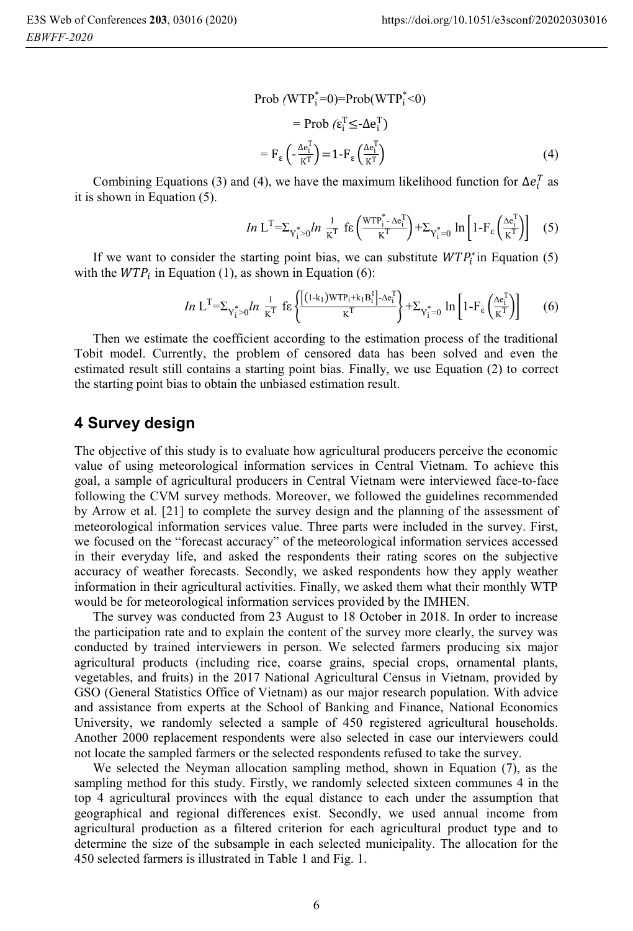$$
\text{Prob (WTP}_i^* = 0) = \text{Prob(WTP}_i^* < 0) \\
= \text{Prob } (\varepsilon_i^T \leq -\Delta \varepsilon_i^T) \\
= F_{\varepsilon} \left( -\frac{\Delta \varepsilon_i^T}{K^T} \right) = 1 - F_{\varepsilon} \left( \frac{\Delta \varepsilon_i^T}{K^T} \right) \tag{4}
$$

Combining Equations (3) and (4), we have the maximum likelihood function for  $\Delta e_i^T$  as it is shown in Equation (5).

*In* LT=ΣYi \* >0*ln* <sup>1</sup> KT fε WTPi \*- ∆ei T KT +ΣYi \* =0 ln 1-Fε ∆ei T KT (5)

If we want to consider the starting point bias, we can substitute  $WTP_i^*$  in Equation (5) with the  $WTP_i$  in Equation (1), as shown in Equation (6):

$$
In \mathbf{L}^{\mathrm{T}} = \sum_{\mathrm{Y}_i^* > 0} In \frac{1}{\mathrm{K}^{\mathrm{T}}} \text{ } \operatorname{fc} \left\{ \frac{\left[ (1 - \mathrm{k}_1) \mathrm{W} \mathrm{T} \mathrm{P}_i + \mathrm{k}_1 \mathrm{B}_i^1 \right] \cdot \Delta \mathrm{e}_i^{\mathrm{T}}}{\mathrm{K}^{\mathrm{T}}} \right\} + \sum_{\mathrm{Y}_i^* = 0} \ln \left[ 1 - \mathrm{F}_{\varepsilon} \left( \frac{\Delta \mathrm{e}_i^{\mathrm{T}}}{\mathrm{K}^{\mathrm{T}}} \right) \right] \tag{6}
$$

Then we estimate the coefficient according to the estimation process of the traditional Tobit model. Currently, the problem of censored data has been solved and even the estimated result still contains a starting point bias. Finally, we use Equation (2) to correct the starting point bias to obtain the unbiased estimation result.

#### **4 Survey design**

The objective of this study is to evaluate how agricultural producers perceive the economic value of using meteorological information services in Central Vietnam. To achieve this goal, a sample of agricultural producers in Central Vietnam were interviewed face-to-face following the CVM survey methods. Moreover, we followed the guidelines recommended by Arrow et al. [21] to complete the survey design and the planning of the assessment of meteorological information services value. Three parts were included in the survey. First, we focused on the "forecast accuracy" of the meteorological information services accessed in their everyday life, and asked the respondents their rating scores on the subjective accuracy of weather forecasts. Secondly, we asked respondents how they apply weather information in their agricultural activities. Finally, we asked them what their monthly WTP would be for meteorological information services provided by the IMHEN.

The survey was conducted from 23 August to 18 October in 2018. In order to increase the participation rate and to explain the content of the survey more clearly, the survey was conducted by trained interviewers in person. We selected farmers producing six major agricultural products (including rice, coarse grains, special crops, ornamental plants, vegetables, and fruits) in the 2017 National Agricultural Census in Vietnam, provided by GSO (General Statistics Office of Vietnam) as our major research population. With advice and assistance from experts at the School of Banking and Finance, National Economics University, we randomly selected a sample of 450 registered agricultural households. Another 2000 replacement respondents were also selected in case our interviewers could not locate the sampled farmers or the selected respondents refused to take the survey.

We selected the Neyman allocation sampling method, shown in Equation (7), as the sampling method for this study. Firstly, we randomly selected sixteen communes 4 in the top 4 agricultural provinces with the equal distance to each under the assumption that geographical and regional differences exist. Secondly, we used annual income from agricultural production as a filtered criterion for each agricultural product type and to determine the size of the subsample in each selected municipality. The allocation for the 450 selected farmers is illustrated in Table 1 and Fig. 1.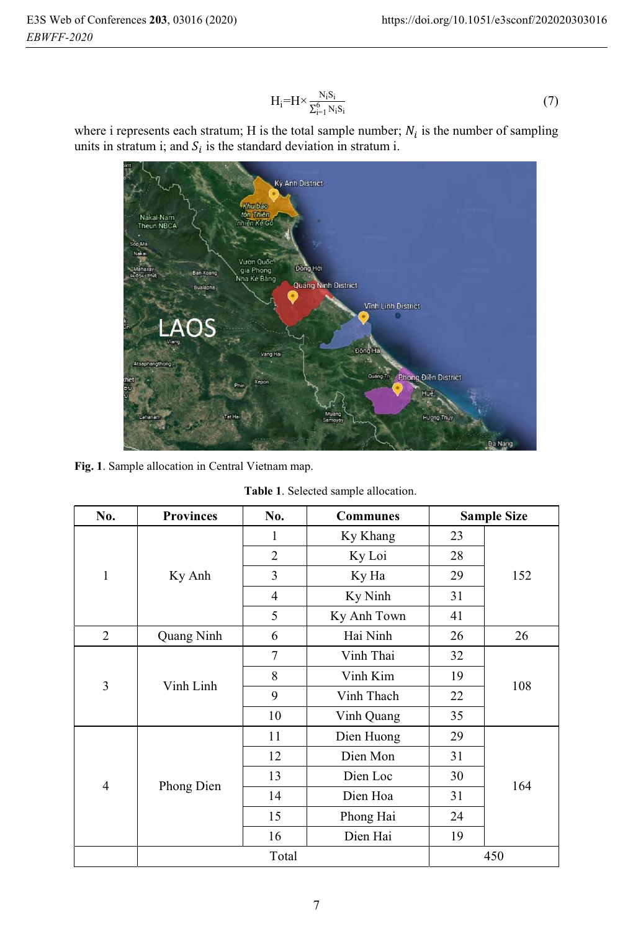$$
H_i = H \times \frac{N_i S_i}{\sum_{i=1}^{6} N_i S_i}
$$
 (7)

where i represents each stratum; H is the total sample number;  $N_i$  is the number of sampling units in stratum i; and  $S_i$  is the standard deviation in stratum i.



**Fig. 1**. Sample allocation in Central Vietnam map.

**Table 1**. Selected sample allocation.

| No.            | <b>Provinces</b> | No.            | <b>Communes</b> |    | <b>Sample Size</b> |
|----------------|------------------|----------------|-----------------|----|--------------------|
|                |                  | 1              | Ky Khang        | 23 |                    |
|                |                  | $\overline{2}$ | Ky Loi          | 28 |                    |
| 1              | Ky Anh           | 3              | Ky Ha           | 29 | 152                |
|                |                  | 4              | Ky Ninh         | 31 |                    |
|                |                  | 5              | Ky Anh Town     | 41 |                    |
| $\overline{2}$ | Quang Ninh       | 6              | Hai Ninh        | 26 | 26                 |
| 3              | Vinh Linh        | 7              | Vinh Thai       | 32 | 108                |
|                |                  | 8              | Vinh Kim        | 19 |                    |
|                |                  | 9              | Vinh Thach      | 22 |                    |
|                |                  | 10             | Vinh Quang      | 35 |                    |
|                |                  | 11             | Dien Huong      | 29 |                    |
| 4              | Phong Dien       | 12             | Dien Mon        | 31 | 164                |
|                |                  | 13             | Dien Loc        | 30 |                    |
|                |                  | 14             | Dien Hoa        | 31 |                    |
|                |                  | 15             | Phong Hai       | 24 |                    |
|                |                  | 16             | Dien Hai        | 19 |                    |
|                |                  | Total          |                 |    | 450                |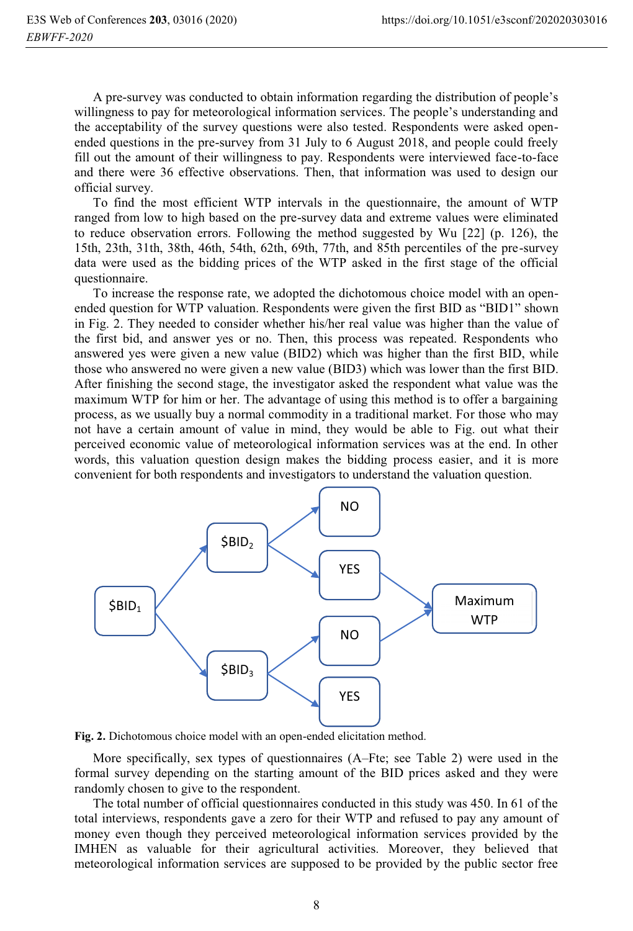A pre-survey was conducted to obtain information regarding the distribution of people's willingness to pay for meteorological information services. The people's understanding and the acceptability of the survey questions were also tested. Respondents were asked openended questions in the pre-survey from 31 July to 6 August 2018, and people could freely fill out the amount of their willingness to pay. Respondents were interviewed face-to-face and there were 36 effective observations. Then, that information was used to design our official survey.

To find the most efficient WTP intervals in the questionnaire, the amount of WTP ranged from low to high based on the pre-survey data and extreme values were eliminated to reduce observation errors. Following the method suggested by Wu [22] (p. 126), the 15th, 23th, 31th, 38th, 46th, 54th, 62th, 69th, 77th, and 85th percentiles of the pre-survey data were used as the bidding prices of the WTP asked in the first stage of the official questionnaire.

To increase the response rate, we adopted the dichotomous choice model with an openended question for WTP valuation. Respondents were given the first BID as "BID1" shown in Fig. 2. They needed to consider whether his/her real value was higher than the value of the first bid, and answer yes or no. Then, this process was repeated. Respondents who answered yes were given a new value (BID2) which was higher than the first BID, while those who answered no were given a new value (BID3) which was lower than the first BID. After finishing the second stage, the investigator asked the respondent what value was the maximum WTP for him or her. The advantage of using this method is to offer a bargaining process, as we usually buy a normal commodity in a traditional market. For those who may not have a certain amount of value in mind, they would be able to Fig. out what their perceived economic value of meteorological information services was at the end. In other words, this valuation question design makes the bidding process easier, and it is more convenient for both respondents and investigators to understand the valuation question.



**Fig. 2.** Dichotomous choice model with an open-ended elicitation method.

More specifically, sex types of questionnaires (A–Fte; see Table 2) were used in the formal survey depending on the starting amount of the BID prices asked and they were randomly chosen to give to the respondent.

The total number of official questionnaires conducted in this study was 450. In 61 of the total interviews, respondents gave a zero for their WTP and refused to pay any amount of money even though they perceived meteorological information services provided by the IMHEN as valuable for their agricultural activities. Moreover, they believed that meteorological information services are supposed to be provided by the public sector free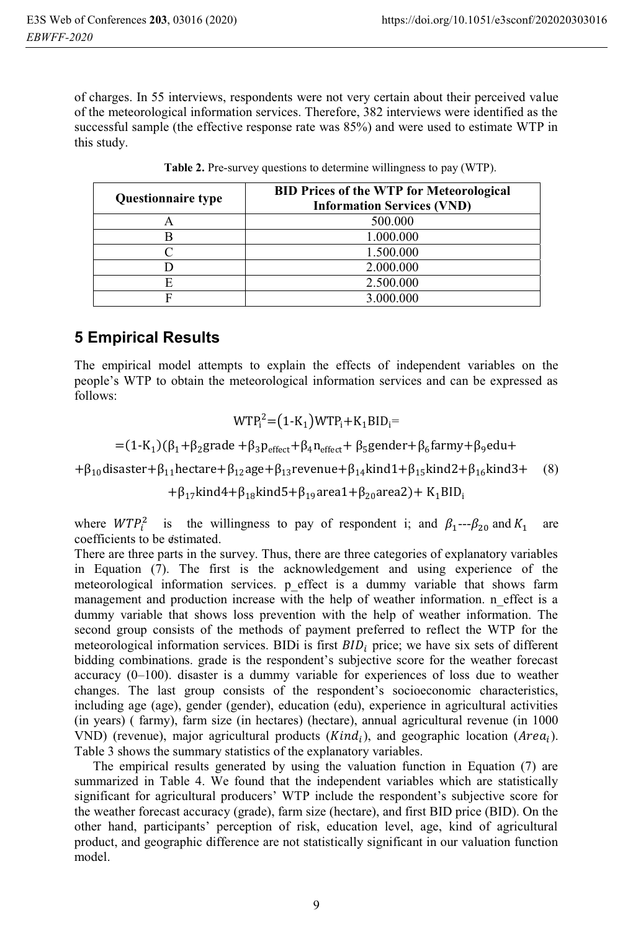of charges. In 55 interviews, respondents were not very certain about their perceived value of the meteorological information services. Therefore, 382 interviews were identified as the successful sample (the effective response rate was 85%) and were used to estimate WTP in this study.

| Questionnaire type | <b>BID Prices of the WTP for Meteorological</b><br><b>Information Services (VND)</b> |
|--------------------|--------------------------------------------------------------------------------------|
| А                  | 500.000                                                                              |
| R                  | 1.000.000                                                                            |
|                    | 1.500.000                                                                            |
|                    | 2.000.000                                                                            |
| E                  | 2.500.000                                                                            |
|                    | 3.000.000                                                                            |

|  | <b>Table 2.</b> Pre-survey questions to determine willingness to pay (WTP). |
|--|-----------------------------------------------------------------------------|
|--|-----------------------------------------------------------------------------|

## **5 Empirical Results**

The empirical model attempts to explain the effects of independent variables on the people's WTP to obtain the meteorological information services and can be expressed as follows:

$$
WTP_i^2{=}(1{-}K_1)WTP_i{+}K_1BID_i{=}
$$

=(1-K<sub>1</sub>)( $\beta_1+\beta_2$ grade + $\beta_3$ p<sub>effect</sub> +  $\beta_4$ n<sub>effect</sub> +  $\beta_5$ gender +  $\beta_6$ farmy +  $\beta_9$ edu +

 $+\beta_{10}$ disaster+ $\beta_{11}$ hectare+ $\beta_{12}$ age+ $\beta_{13}$ revenue+ $\beta_{14}$ kind1+ $\beta_{15}$ kind2+ $\beta_{16}$ kind3+ (8)

 $+\beta_{17}$ kind4+ $\beta_{18}$ kind5+ $\beta_{19}$ area1+ $\beta_{20}$ area2)+ K<sub>1</sub>BID<sub>i</sub>

where  $WTP_i^2$  is the willingness to pay of respondent i; and  $\beta_1 \rightarrow \beta_{20}$  and  $K_1$  are coefficients to be estimated.

There are three parts in the survey. Thus, there are three categories of explanatory variables in Equation (7). The first is the acknowledgement and using experience of the meteorological information services. p\_effect is a dummy variable that shows farm management and production increase with the help of weather information. n\_effect is a dummy variable that shows loss prevention with the help of weather information. The second group consists of the methods of payment preferred to reflect the WTP for the meteorological information services. BIDi is first  $BID_i$  price; we have six sets of different bidding combinations. grade is the respondent's subjective score for the weather forecast accuracy  $(0-100)$ . disaster is a dummy variable for experiences of loss due to weather changes. The last group consists of the respondent's socioeconomic characteristics, including age (age), gender (gender), education (edu), experience in agricultural activities (in years) ( farmy), farm size (in hectares) (hectare), annual agricultural revenue (in 1000 VND) (revenue), major agricultural products  $(Kind_i)$ , and geographic location  $(Area_i)$ . Table 3 shows the summary statistics of the explanatory variables.

The empirical results generated by using the valuation function in Equation (7) are summarized in Table 4. We found that the independent variables which are statistically significant for agricultural producers' WTP include the respondent's subjective score for the weather forecast accuracy (grade), farm size (hectare), and first BID price (BID). On the other hand, participants' perception of risk, education level, age, kind of agricultural product, and geographic difference are not statistically significant in our valuation function model.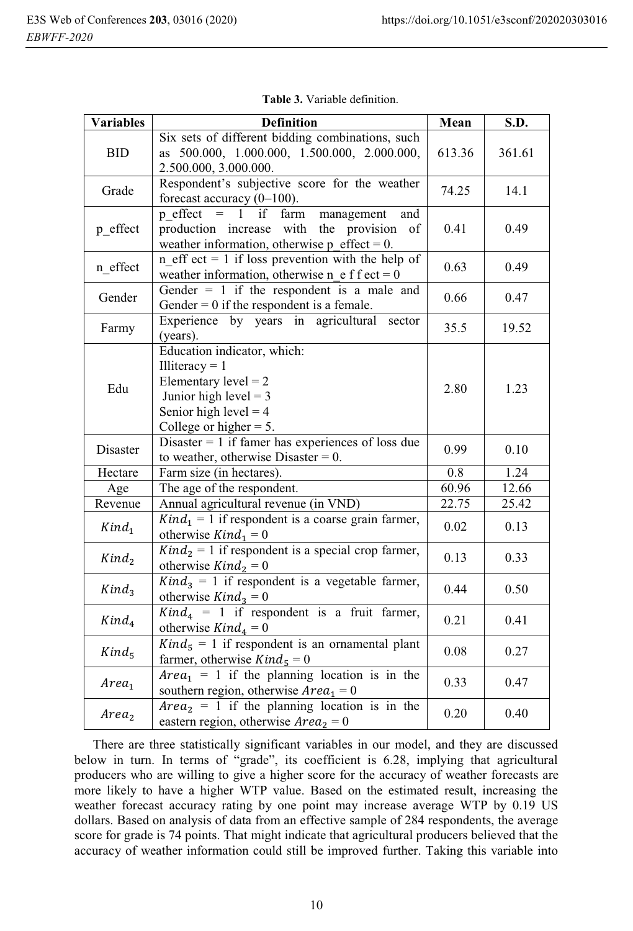| <b>Variables</b>  | <b>Definition</b>                                                                                                                                                | Mean   | S.D.   |
|-------------------|------------------------------------------------------------------------------------------------------------------------------------------------------------------|--------|--------|
| <b>BID</b>        | Six sets of different bidding combinations, such<br>as 500.000, 1.000.000, 1.500.000, 2.000.000,<br>2.500.000, 3.000.000.                                        | 613.36 | 361.61 |
| Grade             | Respondent's subjective score for the weather<br>forecast accuracy $(0-100)$ .                                                                                   | 74.25  | 14.1   |
| p_effect          | p effect<br>$\quad =$<br>$1$ if<br>management<br>farm<br>and<br>production increase with the provision<br>of<br>weather information, otherwise $p_e$ effect = 0. | 0.41   | 0.49   |
| n effect          | $n_{\text{eff}}$ ect = 1 if loss prevention with the help of<br>weather information, otherwise $n \cdot e$ f $f \cdot e$ ct = 0                                  | 0.63   | 0.49   |
| Gender            | Gender $= 1$ if the respondent is a male and<br>Gender = $0$ if the respondent is a female.                                                                      | 0.66   | 0.47   |
| Farmy             | Experience by years in agricultural<br>sector<br>(years).                                                                                                        | 35.5   | 19.52  |
| Edu               | Education indicator, which:<br>Illiteracy = $1$<br>Elementary $level = 2$<br>Junior high level $=$ 3<br>Senior high level = $4$<br>College or higher $= 5$ .     | 2.80   | 1.23   |
| Disaster          | Disaster $= 1$ if famer has experiences of loss due<br>to weather, otherwise Disaster = $0$ .                                                                    | 0.99   | 0.10   |
| Hectare           | Farm size (in hectares).                                                                                                                                         | 0.8    | 1.24   |
| Age               | The age of the respondent.                                                                                                                                       | 60.96  | 12.66  |
| Revenue           | Annual agricultural revenue (in VND)                                                                                                                             | 22.75  | 25.42  |
| Kind <sub>1</sub> | $Kind_1 = 1$ if respondent is a coarse grain farmer,<br>otherwise $Kind_1 = 0$                                                                                   | 0.02   | 0.13   |
| Kind <sub>2</sub> | $Kind_2 = 1$ if respondent is a special crop farmer,<br>otherwise $Kind_2 = 0$                                                                                   | 0.13   | 0.33   |
| Kind <sub>3</sub> | $Kind3 = 1$ if respondent is a vegetable farmer,<br>otherwise $Kind_3 = 0$                                                                                       | 0.44   | 0.50   |
| Kind <sub>4</sub> | $Kind_4 = 1$ if respondent is a fruit farmer,<br>otherwise $Kind_4 = 0$                                                                                          | 0.21   | 0.41   |
| Kind <sub>5</sub> | $Kind_5 = 1$ if respondent is an ornamental plant<br>farmer, otherwise $Kind_5 = 0$                                                                              | 0.08   | 0.27   |
| $Area_1$          | $Area_1 = 1$ if the planning location is in the<br>southern region, otherwise $Area_1 = 0$                                                                       | 0.33   | 0.47   |
| Area <sub>2</sub> | $Area_2 = 1$ if the planning location is in the<br>eastern region, otherwise $Area_2 = 0$                                                                        | 0.20   | 0.40   |

|  | <b>Table 3.</b> Variable definition. |
|--|--------------------------------------|
|  |                                      |

There are three statistically significant variables in our model, and they are discussed below in turn. In terms of "grade", its coefficient is 6.28, implying that agricultural producers who are willing to give a higher score for the accuracy of weather forecasts are more likely to have a higher WTP value. Based on the estimated result, increasing the weather forecast accuracy rating by one point may increase average WTP by 0.19 US dollars. Based on analysis of data from an effective sample of 284 respondents, the average score for grade is 74 points. That might indicate that agricultural producers believed that the accuracy of weather information could still be improved further. Taking this variable into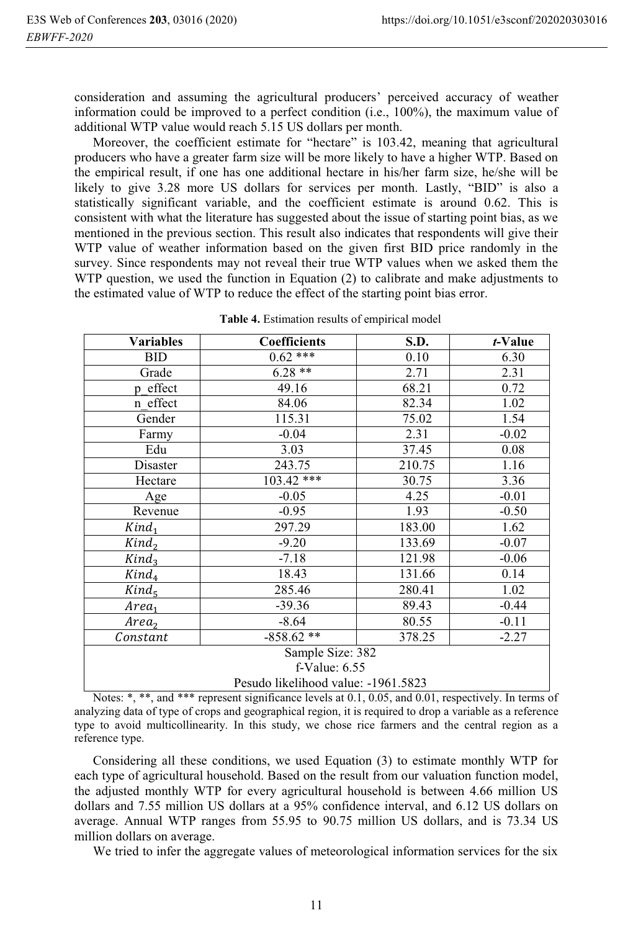consideration and assuming the agricultural producers' perceived accuracy of weather information could be improved to a perfect condition (i.e., 100%), the maximum value of additional WTP value would reach 5.15 US dollars per month.

Moreover, the coefficient estimate for "hectare" is 103.42, meaning that agricultural producers who have a greater farm size will be more likely to have a higher WTP. Based on the empirical result, if one has one additional hectare in his/her farm size, he/she will be likely to give 3.28 more US dollars for services per month. Lastly, "BID" is also a statistically significant variable, and the coefficient estimate is around 0.62. This is consistent with what the literature has suggested about the issue of starting point bias, as we mentioned in the previous section. This result also indicates that respondents will give their WTP value of weather information based on the given first BID price randomly in the survey. Since respondents may not reveal their true WTP values when we asked them the WTP question, we used the function in Equation (2) to calibrate and make adjustments to the estimated value of WTP to reduce the effect of the starting point bias error.

| <b>Variables</b>                    | <b>Coefficients</b> | S.D.   | t-Value |  |
|-------------------------------------|---------------------|--------|---------|--|
| <b>BID</b>                          | $0.62$ ***          | 0.10   | 6.30    |  |
| Grade                               | $6.28**$            | 2.71   | 2.31    |  |
| p effect                            | 49.16               | 68.21  | 0.72    |  |
| n effect                            | 84.06               | 82.34  | 1.02    |  |
| Gender                              | 115.31              | 75.02  | 1.54    |  |
| Farmy                               | $-0.04$             | 2.31   | $-0.02$ |  |
| Edu                                 | 3.03                | 37.45  | 0.08    |  |
| Disaster                            | 243.75              | 210.75 | 1.16    |  |
| Hectare                             | 103.42 ***          | 30.75  | 3.36    |  |
| Age                                 | $-0.05$             | 4.25   | $-0.01$ |  |
| Revenue                             | $-0.95$             | 1.93   | $-0.50$ |  |
| Kind <sub>1</sub>                   | 297.29              | 183.00 | 1.62    |  |
| Kind <sub>2</sub>                   | $-9.20$             | 133.69 | $-0.07$ |  |
| Kind <sub>3</sub>                   | $-7.18$             | 121.98 | $-0.06$ |  |
| Kind <sub>4</sub>                   | 18.43               | 131.66 | 0.14    |  |
| Kind <sub>5</sub>                   | 285.46              | 280.41 | 1.02    |  |
| Area <sub>1</sub>                   | $-39.36$            | 89.43  | $-0.44$ |  |
| Area <sub>2</sub>                   | $-8.64$             | 80.55  | $-0.11$ |  |
| Constant                            | $-858.62$ **        | 378.25 | $-2.27$ |  |
| Sample Size: 382                    |                     |        |         |  |
| f-Value: 6.55                       |                     |        |         |  |
| Pesudo likelihood value: -1961.5823 |                     |        |         |  |

**Table 4.** Estimation results of empirical model

Notes: \*, \*\*, and \*\*\* represent significance levels at 0.1, 0.05, and 0.01, respectively. In terms of analyzing data of type of crops and geographical region, it is required to drop a variable as a reference type to avoid multicollinearity. In this study, we chose rice farmers and the central region as a reference type.

Considering all these conditions, we used Equation (3) to estimate monthly WTP for each type of agricultural household. Based on the result from our valuation function model, the adjusted monthly WTP for every agricultural household is between 4.66 million US dollars and 7.55 million US dollars at a 95% confidence interval, and 6.12 US dollars on average. Annual WTP ranges from 55.95 to 90.75 million US dollars, and is 73.34 US million dollars on average.

We tried to infer the aggregate values of meteorological information services for the six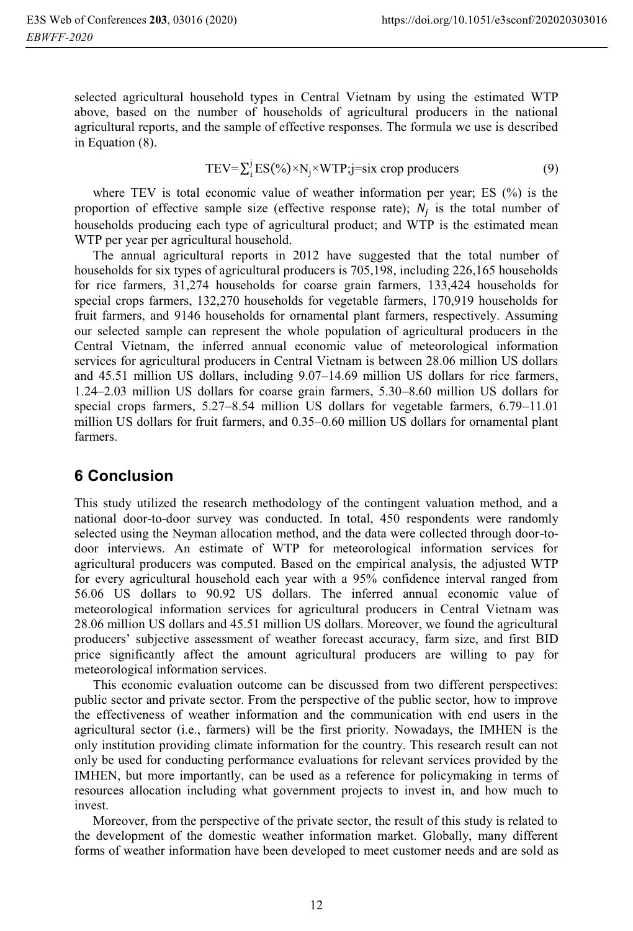selected agricultural household types in Central Vietnam by using the estimated WTP above, based on the number of households of agricultural producers in the national agricultural reports, and the sample of effective responses. The formula we use is described in Equation (8).

$$
TEV = \sum_{i}^{j} ES(\%) \times N_{j} \times WTP_{i}j = six \text{ crop produces } (9)
$$

where TEV is total economic value of weather information per year; ES (%) is the proportion of effective sample size (effective response rate);  $N_i$  is the total number of households producing each type of agricultural product; and WTP is the estimated mean WTP per year per agricultural household.

The annual agricultural reports in 2012 have suggested that the total number of households for six types of agricultural producers is 705,198, including 226,165 households for rice farmers, 31,274 households for coarse grain farmers, 133,424 households for special crops farmers, 132,270 households for vegetable farmers, 170,919 households for fruit farmers, and 9146 households for ornamental plant farmers, respectively. Assuming our selected sample can represent the whole population of agricultural producers in the Central Vietnam, the inferred annual economic value of meteorological information services for agricultural producers in Central Vietnam is between 28.06 million US dollars and 45.51 million US dollars, including 9.07–14.69 million US dollars for rice farmers, 1.24–2.03 million US dollars for coarse grain farmers, 5.30–8.60 million US dollars for special crops farmers, 5.27–8.54 million US dollars for vegetable farmers, 6.79–11.01 million US dollars for fruit farmers, and 0.35–0.60 million US dollars for ornamental plant farmers.

# **6 Conclusion**

This study utilized the research methodology of the contingent valuation method, and a national door-to-door survey was conducted. In total, 450 respondents were randomly selected using the Neyman allocation method, and the data were collected through door-todoor interviews. An estimate of WTP for meteorological information services for agricultural producers was computed. Based on the empirical analysis, the adjusted WTP for every agricultural household each year with a 95% confidence interval ranged from 56.06 US dollars to 90.92 US dollars. The inferred annual economic value of meteorological information services for agricultural producers in Central Vietnam was 28.06 million US dollars and 45.51 million US dollars. Moreover, we found the agricultural producers' subjective assessment of weather forecast accuracy, farm size, and first BID price significantly affect the amount agricultural producers are willing to pay for meteorological information services.

This economic evaluation outcome can be discussed from two different perspectives: public sector and private sector. From the perspective of the public sector, how to improve the effectiveness of weather information and the communication with end users in the agricultural sector (i.e., farmers) will be the first priority. Nowadays, the IMHEN is the only institution providing climate information for the country. This research result can not only be used for conducting performance evaluations for relevant services provided by the IMHEN, but more importantly, can be used as a reference for policymaking in terms of resources allocation including what government projects to invest in, and how much to invest.

Moreover, from the perspective of the private sector, the result of this study is related to the development of the domestic weather information market. Globally, many different forms of weather information have been developed to meet customer needs and are sold as